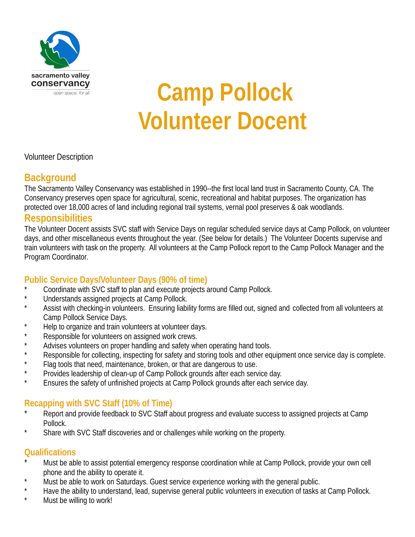

# **Camp Pollock Volunteer Docent**

Volunteer Description

#### **Background**

The Sacramento Valley Conservancy was established in 1990--the first local land trust in Sacramento County, CA. The Conservancy preserves open space for agricultural, scenic, recreational and habitat purposes. The organization has protected over 18,000 acres of land including regional trail systems, vernal pool preserves & oak woodlands.

#### **Responsibilities**

The Volunteer Docent assists SVC staff with Service Days on regular scheduled service days at Camp Pollock, on volunteer days, and other miscellaneous events throughout the year. (See below for details.) The Volunteer Docents supervise and train volunteers with task on the property. All volunteers at the Camp Pollock report to the Camp Pollock Manager and the Program Coordinator.

#### **Public Service Days/Volunteer Days (90% of time)**

- \* Coordinate with SVC staff to plan and execute projects around Camp Pollock.
- \* Understands assigned projects at Camp Pollock.
- Assist with checking-in volunteers. Ensuring liability forms are filled out, signed and collected from all volunteers at Camp Pollock Service Days.
- Help to organize and train volunteers at volunteer days.
- Responsible for volunteers on assigned work crews.
- Advises volunteers on proper handling and safety when operating hand tools.
- Responsible for collecting, inspecting for safety and storing tools and other equipment once service day is complete.
- Flag tools that need, maintenance, broken, or that are dangerous to use.
- Provides leadership of clean-up of Camp Pollock grounds after each service day.
- Ensures the safety of unfinished projects at Camp Pollock grounds after each service day.

#### **Recapping with SVC Staff (10% of Time)**

- Report and provide feedback to SVC Staff about progress and evaluate success to assigned projects at Camp Pollock.
- Share with SVC Staff discoveries and or challenges while working on the property.

#### **Qualifications**

- Must be able to assist potential emergency response coordination while at Camp Pollock, provide your own cell phone and the ability to operate it.
- \* Must be able to work on Saturdays. Guest service experience working with the general public.
- \* Have the ability to understand, lead, supervise general public volunteers in execution of tasks at Camp Pollock.
- Must be willing to work!